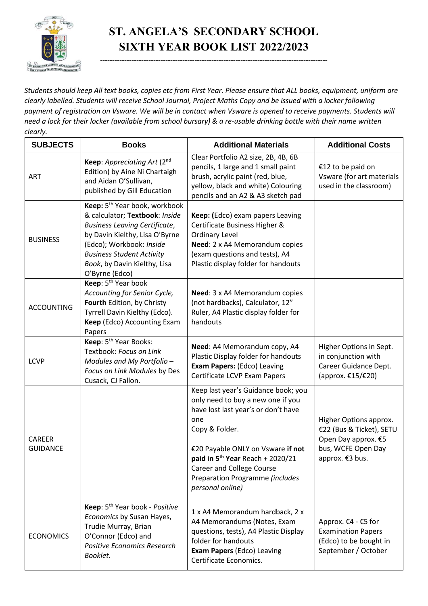

## **ST. ANGELA'S SECONDARY SCHOOL SIXTH YEAR BOOK LIST 2022/2023**

**----------------------------------------------------------------------------------------------**

*Students should keep All text books, copies etc from First Year. Please ensure that ALL books, equipment, uniform are clearly labelled. Students will receive School Journal, Project Maths Copy and be issued with a locker following payment of registration on Vsware. We will be in contact when Vsware is opened to receive payments. Students will need a lock for their locker (available from school bursary) & a re-usable drinking bottle with their name written clearly.*

| <b>SUBJECTS</b>                  | <b>Books</b>                                                                                                                                                                                                                                                            | <b>Additional Materials</b>                                                                                                                                                                                                                                                                                              | <b>Additional Costs</b>                                                                                            |
|----------------------------------|-------------------------------------------------------------------------------------------------------------------------------------------------------------------------------------------------------------------------------------------------------------------------|--------------------------------------------------------------------------------------------------------------------------------------------------------------------------------------------------------------------------------------------------------------------------------------------------------------------------|--------------------------------------------------------------------------------------------------------------------|
| <b>ART</b>                       | Keep: Appreciating Art (2nd<br>Edition) by Aine Ni Chartaigh<br>and Aidan O'Sullivan,<br>published by Gill Education                                                                                                                                                    | Clear Portfolio A2 size, 2B, 4B, 6B<br>pencils, 1 large and 1 small paint<br>brush, acrylic paint (red, blue,<br>yellow, black and white) Colouring<br>pencils and an A2 & A3 sketch pad                                                                                                                                 | €12 to be paid on<br>Vsware (for art materials<br>used in the classroom)                                           |
| <b>BUSINESS</b>                  | Keep: 5 <sup>th</sup> Year book, workbook<br>& calculator; Textbook: Inside<br><b>Business Leaving Certificate,</b><br>by Davin Kielthy, Lisa O'Byrne<br>(Edco); Workbook: Inside<br><b>Business Student Activity</b><br>Book, by Davin Kielthy, Lisa<br>O'Byrne (Edco) | Keep: (Edco) exam papers Leaving<br>Certificate Business Higher &<br><b>Ordinary Level</b><br>Need: 2 x A4 Memorandum copies<br>(exam questions and tests), A4<br>Plastic display folder for handouts                                                                                                                    |                                                                                                                    |
| <b>ACCOUNTING</b>                | Keep: 5 <sup>th</sup> Year book<br>Accounting for Senior Cycle,<br>Fourth Edition, by Christy<br>Tyrrell Davin Kielthy (Edco).<br>Keep (Edco) Accounting Exam<br>Papers                                                                                                 | Need: 3 x A4 Memorandum copies<br>(not hardbacks), Calculator, 12"<br>Ruler, A4 Plastic display folder for<br>handouts                                                                                                                                                                                                   |                                                                                                                    |
| <b>LCVP</b>                      | Keep: 5 <sup>th</sup> Year Books:<br>Textbook: Focus on Link<br>Modules and My Portfolio -<br>Focus on Link Modules by Des<br>Cusack, CJ Fallon.                                                                                                                        | Need: A4 Memorandum copy, A4<br>Plastic Display folder for handouts<br>Exam Papers: (Edco) Leaving<br>Certificate LCVP Exam Papers                                                                                                                                                                                       | Higher Options in Sept.<br>in conjunction with<br>Career Guidance Dept.<br>(approx. €15/€20)                       |
| <b>CAREER</b><br><b>GUIDANCE</b> |                                                                                                                                                                                                                                                                         | Keep last year's Guidance book; you<br>only need to buy a new one if you<br>have lost last year's or don't have<br>one<br>Copy & Folder.<br>€20 Payable ONLY on Vsware if not<br>paid in 5 <sup>th</sup> Year Reach + 2020/21<br><b>Career and College Course</b><br>Preparation Programme (includes<br>personal online) | Higher Options approx.<br>€22 (Bus & Ticket), SETU<br>Open Day approx. €5<br>bus, WCFE Open Day<br>approx. €3 bus. |
| <b>ECONOMICS</b>                 | Keep: 5 <sup>th</sup> Year book - Positive<br>Economics by Susan Hayes,<br>Trudie Murray, Brian<br>O'Connor (Edco) and<br><b>Positive Economics Research</b><br>Booklet.                                                                                                | 1 x A4 Memorandum hardback, 2 x<br>A4 Memorandums (Notes, Exam<br>questions, tests), A4 Plastic Display<br>folder for handouts<br><b>Exam Papers (Edco) Leaving</b><br>Certificate Economics.                                                                                                                            | Approx. €4 - €5 for<br><b>Examination Papers</b><br>(Edco) to be bought in<br>September / October                  |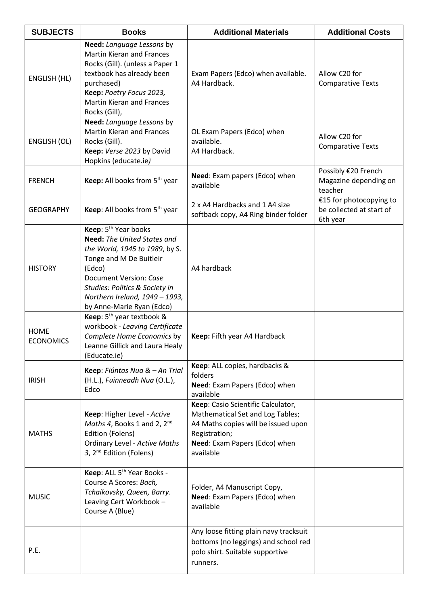| <b>SUBJECTS</b>                 | <b>Books</b>                                                                                                                                                                                                                                                             | <b>Additional Materials</b>                                                                                                                                                  | <b>Additional Costs</b>                                         |
|---------------------------------|--------------------------------------------------------------------------------------------------------------------------------------------------------------------------------------------------------------------------------------------------------------------------|------------------------------------------------------------------------------------------------------------------------------------------------------------------------------|-----------------------------------------------------------------|
| <b>ENGLISH (HL)</b>             | Need: Language Lessons by<br><b>Martin Kieran and Frances</b><br>Rocks (Gill). (unless a Paper 1<br>textbook has already been<br>purchased)<br>Keep: Poetry Focus 2023,<br><b>Martin Kieran and Frances</b><br>Rocks (Gill),                                             | Exam Papers (Edco) when available.<br>A4 Hardback.                                                                                                                           | Allow €20 for<br><b>Comparative Texts</b>                       |
| ENGLISH (OL)                    | Need: Language Lessons by<br><b>Martin Kieran and Frances</b><br>Rocks (Gill).<br>Keep: Verse 2023 by David<br>Hopkins (educate.ie)                                                                                                                                      | OL Exam Papers (Edco) when<br>available.<br>A4 Hardback.                                                                                                                     | Allow €20 for<br><b>Comparative Texts</b>                       |
| <b>FRENCH</b>                   | Keep: All books from 5 <sup>th</sup> year                                                                                                                                                                                                                                | Need: Exam papers (Edco) when<br>available                                                                                                                                   | Possibly €20 French<br>Magazine depending on<br>teacher         |
| <b>GEOGRAPHY</b>                | Keep: All books from 5 <sup>th</sup> year                                                                                                                                                                                                                                | 2 x A4 Hardbacks and 1 A4 size<br>softback copy, A4 Ring binder folder                                                                                                       | €15 for photocopying to<br>be collected at start of<br>6th year |
| <b>HISTORY</b>                  | Keep: 5 <sup>th</sup> Year books<br><b>Need:</b> The United States and<br>the World, 1945 to 1989, by S.<br>Tonge and M De Buitleir<br>(Edco)<br>Document Version: Case<br>Studies: Politics & Society in<br>Northern Ireland, 1949 - 1993,<br>by Anne-Marie Ryan (Edco) | A4 hardback                                                                                                                                                                  |                                                                 |
| <b>HOME</b><br><b>ECONOMICS</b> | Keep: $5th$ year textbook &<br>workbook - Leaving Certificate<br>Complete Home Economics by<br>Leanne Gillick and Laura Healy<br>(Educate.ie)                                                                                                                            | Keep: Fifth year A4 Hardback                                                                                                                                                 |                                                                 |
| <b>IRISH</b>                    | Keep: Fiúntas Nua & - An Trial<br>(H.L.), Fuinneadh Nua (O.L.),<br>Edco                                                                                                                                                                                                  | Keep: ALL copies, hardbacks &<br>folders<br>Need: Exam Papers (Edco) when<br>available                                                                                       |                                                                 |
| <b>MATHS</b>                    | Keep: Higher Level - Active<br>Maths 4, Books 1 and 2, $2^{nd}$<br>Edition (Folens)<br><b>Ordinary Level - Active Maths</b><br>3, 2 <sup>nd</sup> Edition (Folens)                                                                                                       | Keep: Casio Scientific Calculator,<br>Mathematical Set and Log Tables;<br>A4 Maths copies will be issued upon<br>Registration;<br>Need: Exam Papers (Edco) when<br>available |                                                                 |
| <b>MUSIC</b>                    | Keep: ALL 5 <sup>th</sup> Year Books -<br>Course A Scores: Bach,<br>Tchaikovsky, Queen, Barry.<br>Leaving Cert Workbook -<br>Course A (Blue)                                                                                                                             | Folder, A4 Manuscript Copy,<br>Need: Exam Papers (Edco) when<br>available                                                                                                    |                                                                 |
| P.E.                            |                                                                                                                                                                                                                                                                          | Any loose fitting plain navy tracksuit<br>bottoms (no leggings) and school red<br>polo shirt. Suitable supportive<br>runners.                                                |                                                                 |